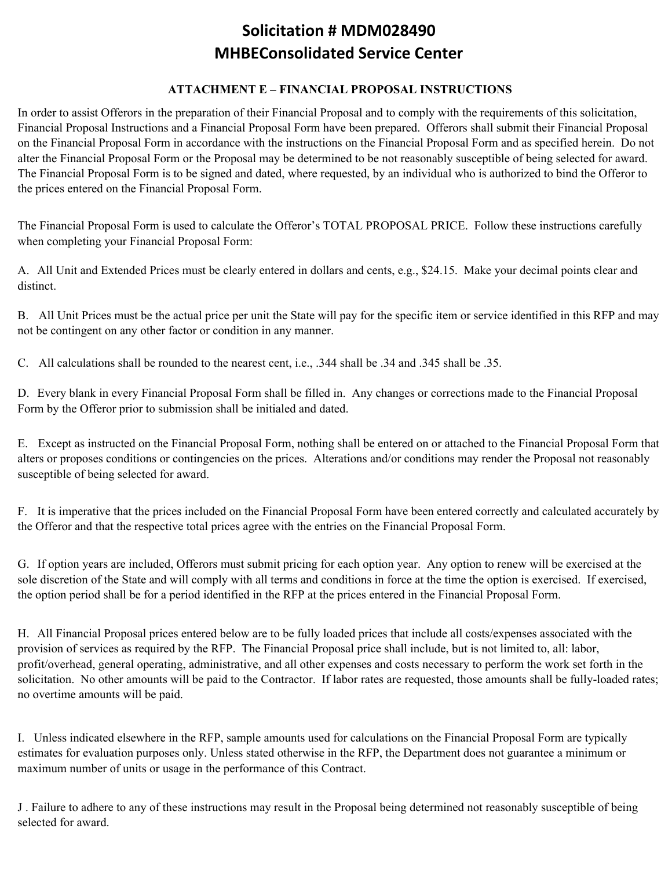## **Solicitation # MDM028490 MHBEConsolidated Service Center**

## **ATTACHMENT E – FINANCIAL PROPOSAL INSTRUCTIONS**

In order to assist Offerors in the preparation of their Financial Proposal and to comply with the requirements of this solicitation, Financial Proposal Instructions and a Financial Proposal Form have been prepared. Offerors shall submit their Financial Proposal on the Financial Proposal Form in accordance with the instructions on the Financial Proposal Form and as specified herein. Do not alter the Financial Proposal Form or the Proposal may be determined to be not reasonably susceptible of being selected for award. The Financial Proposal Form is to be signed and dated, where requested, by an individual who is authorized to bind the Offeror to the prices entered on the Financial Proposal Form.

The Financial Proposal Form is used to calculate the Offeror's TOTAL PROPOSAL PRICE. Follow these instructions carefully when completing your Financial Proposal Form:

A. All Unit and Extended Prices must be clearly entered in dollars and cents, e.g., \$24.15. Make your decimal points clear and distinct.

B. All Unit Prices must be the actual price per unit the State will pay for the specific item or service identified in this RFP and may not be contingent on any other factor or condition in any manner.

C. All calculations shall be rounded to the nearest cent, i.e., .344 shall be .34 and .345 shall be .35.

D. Every blank in every Financial Proposal Form shall be filled in. Any changes or corrections made to the Financial Proposal Form by the Offeror prior to submission shall be initialed and dated.

E. Except as instructed on the Financial Proposal Form, nothing shall be entered on or attached to the Financial Proposal Form that alters or proposes conditions or contingencies on the prices. Alterations and/or conditions may render the Proposal not reasonably susceptible of being selected for award.

F. It is imperative that the prices included on the Financial Proposal Form have been entered correctly and calculated accurately by the Offeror and that the respective total prices agree with the entries on the Financial Proposal Form.

G. If option years are included, Offerors must submit pricing for each option year. Any option to renew will be exercised at the sole discretion of the State and will comply with all terms and conditions in force at the time the option is exercised. If exercised, the option period shall be for a period identified in the RFP at the prices entered in the Financial Proposal Form.

H. All Financial Proposal prices entered below are to be fully loaded prices that include all costs/expenses associated with the provision of services as required by the RFP. The Financial Proposal price shall include, but is not limited to, all: labor, profit/overhead, general operating, administrative, and all other expenses and costs necessary to perform the work set forth in the solicitation. No other amounts will be paid to the Contractor. If labor rates are requested, those amounts shall be fully-loaded rates; no overtime amounts will be paid.

I. Unless indicated elsewhere in the RFP, sample amounts used for calculations on the Financial Proposal Form are typically estimates for evaluation purposes only. Unless stated otherwise in the RFP, the Department does not guarantee a minimum or maximum number of units or usage in the performance of this Contract.

J . Failure to adhere to any of these instructions may result in the Proposal being determined not reasonably susceptible of being selected for award.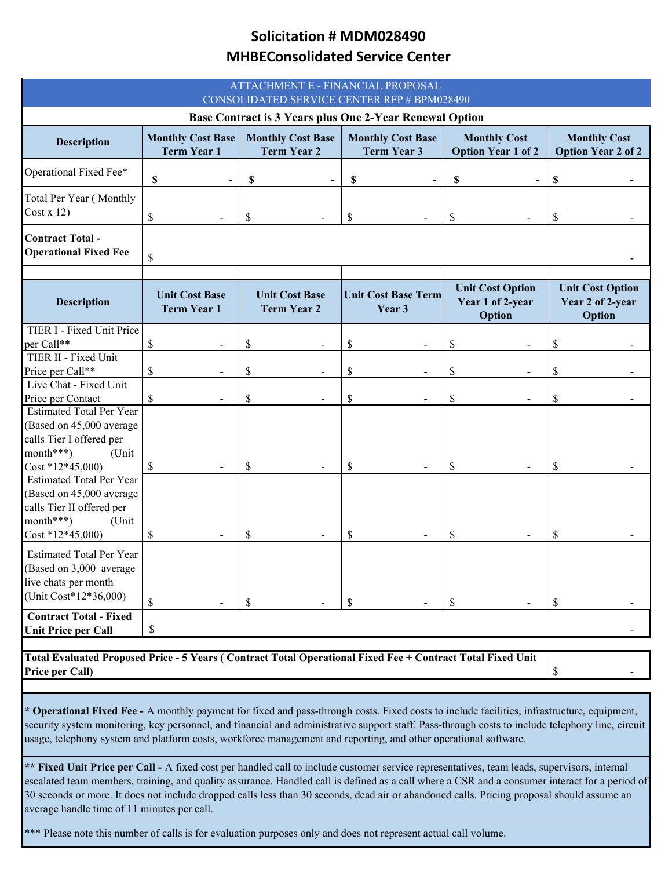## **Solicitation # MDM028490 MHBEConsolidated Service Center**

| ATTACHMENT E - FINANCIAL PROPOSAL<br>CONSOLIDATED SERVICE CENTER RFP # BPM028490                                                       |                                                |                                                |                                                |                                                       |                                                              |  |
|----------------------------------------------------------------------------------------------------------------------------------------|------------------------------------------------|------------------------------------------------|------------------------------------------------|-------------------------------------------------------|--------------------------------------------------------------|--|
| Base Contract is 3 Years plus One 2-Year Renewal Option                                                                                |                                                |                                                |                                                |                                                       |                                                              |  |
| <b>Description</b>                                                                                                                     | <b>Monthly Cost Base</b><br><b>Term Year 1</b> | <b>Monthly Cost Base</b><br><b>Term Year 2</b> | <b>Monthly Cost Base</b><br><b>Term Year 3</b> | <b>Monthly Cost</b><br><b>Option Year 1 of 2</b>      | <b>Monthly Cost</b><br><b>Option Year 2 of 2</b>             |  |
| Operational Fixed Fee*                                                                                                                 | \$                                             | \$                                             | \$                                             | S                                                     | \$                                                           |  |
| Total Per Year (Monthly<br>Cost x 12)                                                                                                  | \$                                             | \$                                             | \$                                             | \$                                                    | S                                                            |  |
| <b>Contract Total-</b><br><b>Operational Fixed Fee</b>                                                                                 | \$                                             |                                                |                                                |                                                       |                                                              |  |
| <b>Description</b>                                                                                                                     | <b>Unit Cost Base</b><br><b>Term Year 1</b>    | <b>Unit Cost Base</b><br><b>Term Year 2</b>    | <b>Unit Cost Base Term</b><br>Year 3           | <b>Unit Cost Option</b><br>Year 1 of 2-year<br>Option | <b>Unit Cost Option</b><br>Year 2 of 2-year<br><b>Option</b> |  |
| TIER I - Fixed Unit Price                                                                                                              |                                                |                                                |                                                |                                                       |                                                              |  |
| per Call**                                                                                                                             | \$                                             | \$                                             | \$                                             | \$                                                    | \$                                                           |  |
| TIER II - Fixed Unit                                                                                                                   |                                                |                                                |                                                |                                                       |                                                              |  |
| Price per Call**<br>Live Chat - Fixed Unit                                                                                             | \$                                             | \$                                             | \$                                             | \$                                                    | \$                                                           |  |
| Price per Contact                                                                                                                      | \$                                             | \$                                             | \$                                             | \$                                                    | \$                                                           |  |
| <b>Estimated Total Per Year</b><br>(Based on 45,000 average<br>calls Tier I offered per<br>month***)<br>(Unit<br>$Cost * 12 * 45,000$  | S                                              | \$                                             | $\mathcal{S}$                                  | S                                                     | S                                                            |  |
| <b>Estimated Total Per Year</b><br>(Based on 45,000 average<br>calls Tier II offered per<br>month***)<br>(Unit<br>$Cost * 12 * 45,000$ | \$                                             | \$                                             | \$                                             | S                                                     | \$                                                           |  |
| <b>Estimated Total Per Year</b><br>(Based on 3,000 average<br>live chats per month<br>(Unit Cost*12*36,000)                            | \$                                             | \$                                             | $\mathcal{S}$                                  | \$                                                    | \$                                                           |  |
| <b>Contract Total - Fixed</b><br><b>Unit Price per Call</b>                                                                            | \$                                             |                                                |                                                |                                                       |                                                              |  |
|                                                                                                                                        |                                                |                                                |                                                |                                                       |                                                              |  |
| Total Evaluated Proposed Price - 5 Years (Contract Total Operational Fixed Fee + Contract Total Fixed Unit<br>Price per Call)          |                                                |                                                |                                                |                                                       | \$                                                           |  |

**\* Operational Fixed Fee -** A monthly payment for fixed and pass-through costs. Fixed costs to include facilities, infrastructure, equipment, security system monitoring, key personnel, and financial and administrative support staff. Pass-through costs to include telephony line, circuit usage, telephony system and platform costs, workforce management and reporting, and other operational software.

**\*\* Fixed Unit Price per Call -** A fixed cost per handled call to include customer service representatives, team leads, supervisors, internal escalated team members, training, and quality assurance. Handled call is defined as a call where a CSR and a consumer interact for a period of 30 seconds or more. It does not include dropped calls less than 30 seconds, dead air or abandoned calls. Pricing proposal should assume an average handle time of 11 minutes per call.

Please note this number of calls is for evaluation purposes only and does not represent actual call volume.